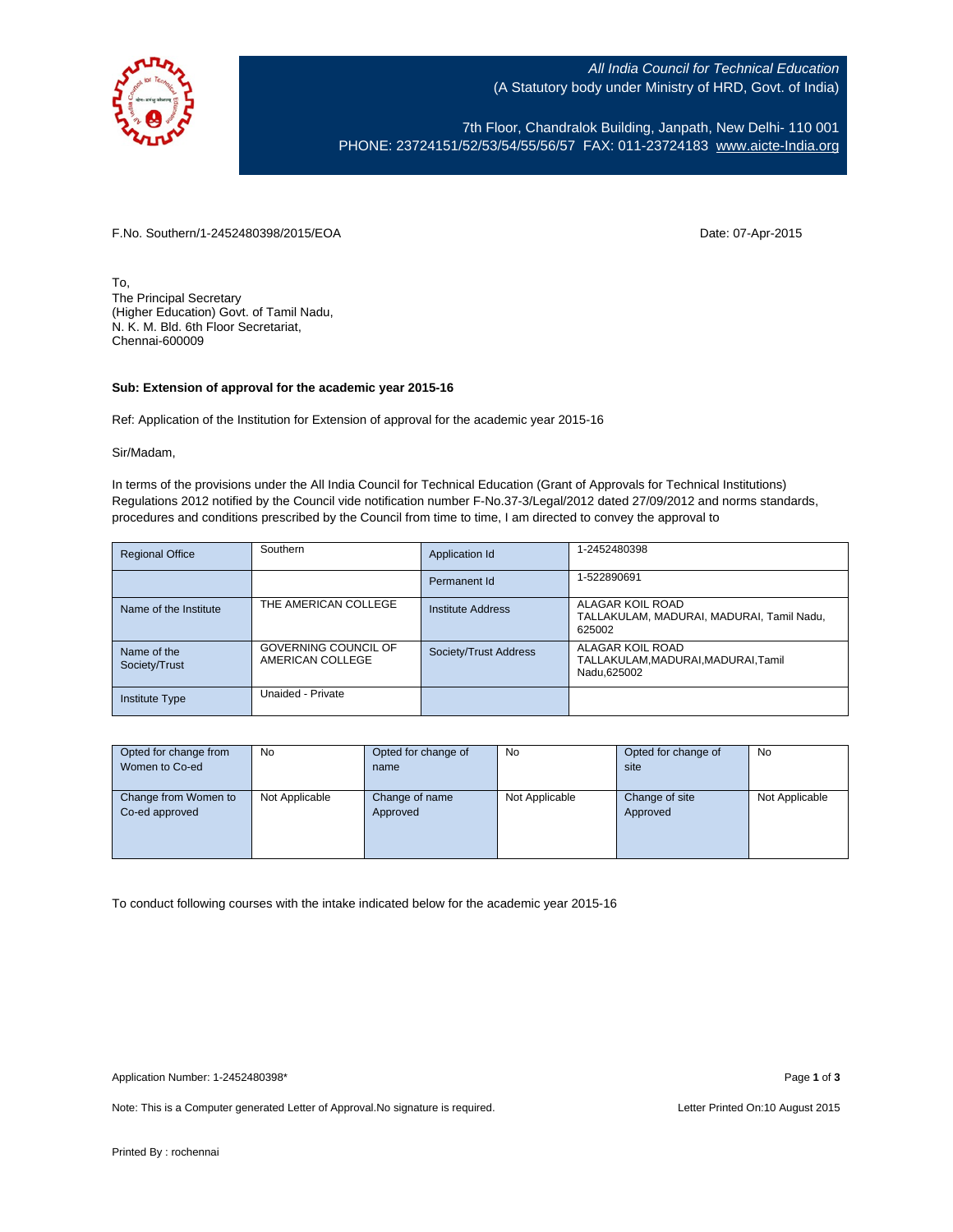

All India Council for Technical Education (A Statutory body under Ministry of HRD, Govt. of India)

7th Floor, Chandralok Building, Janpath, New Delhi- 110 001 PHONE: 23724151/52/53/54/55/56/57 FAX: 011-23724183 [www.aicte-India.org](http://www.aicte-india.org/)

F.No. Southern/1-2452480398/2015/EOA Date: 07-Apr-2015

To, The Principal Secretary (Higher Education) Govt. of Tamil Nadu, N. K. M. Bld. 6th Floor Secretariat, Chennai-600009

## **Sub: Extension of approval for the academic year 2015-16**

Ref: Application of the Institution for Extension of approval for the academic year 2015-16

Sir/Madam,

In terms of the provisions under the All India Council for Technical Education (Grant of Approvals for Technical Institutions) Regulations 2012 notified by the Council vide notification number F-No.37-3/Legal/2012 dated 27/09/2012 and norms standards, procedures and conditions prescribed by the Council from time to time, I am directed to convey the approval to

| <b>Regional Office</b>       | Southern                                        | Application Id        | 1-2452480398                                                            |
|------------------------------|-------------------------------------------------|-----------------------|-------------------------------------------------------------------------|
|                              |                                                 | Permanent Id          | 1-522890691                                                             |
| Name of the Institute        | THE AMERICAN COLLEGE                            | Institute Address     | ALAGAR KOIL ROAD<br>TALLAKULAM, MADURAI, MADURAI, Tamil Nadu,<br>625002 |
| Name of the<br>Society/Trust | <b>GOVERNING COUNCIL OF</b><br>AMERICAN COLLEGE | Society/Trust Address | ALAGAR KOIL ROAD<br>TALLAKULAM, MADURAI, MADURAI, Tamil<br>Nadu.625002  |
| <b>Institute Type</b>        | Unaided - Private                               |                       |                                                                         |

| Opted for change from | <b>No</b>      | Opted for change of | <b>No</b>      | Opted for change of | <b>No</b>      |
|-----------------------|----------------|---------------------|----------------|---------------------|----------------|
| Women to Co-ed        |                | name                |                | site                |                |
|                       |                |                     |                |                     |                |
| Change from Women to  | Not Applicable | Change of name      | Not Applicable | Change of site      | Not Applicable |
| Co-ed approved        |                | Approved            |                | Approved            |                |
|                       |                |                     |                |                     |                |
|                       |                |                     |                |                     |                |
|                       |                |                     |                |                     |                |

To conduct following courses with the intake indicated below for the academic year 2015-16

Note: This is a Computer generated Letter of Approval. No signature is required. Letter Printed On:10 August 2015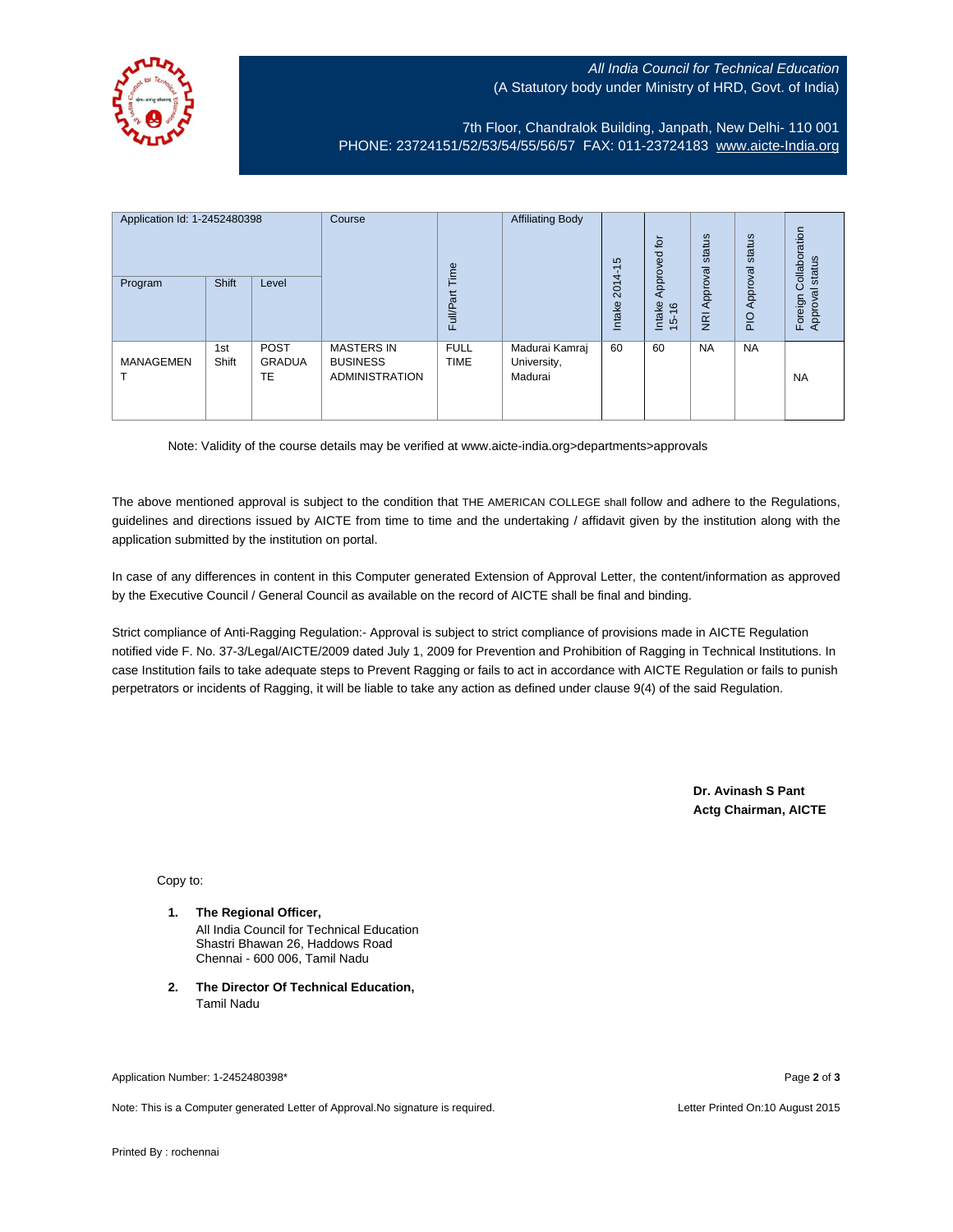## All India Council for Technical Education (A Statutory body under Ministry of HRD, Govt. of India)



7th Floor, Chandralok Building, Janpath, New Delhi- 110 001 PHONE: 23724151/52/53/54/55/56/57 FAX: 011-23724183 [www.aicte-India.org](http://www.aicte-india.org/)

| Application Id: 1-2452480398<br>Course<br><b>Shift</b><br>Program<br>Level |              |                             | <b>Affiliating Body</b><br>Time                               |                            | 5<br>ᡪ<br>$2014 -$                       | $\overline{p}$<br>59<br>Approve | status<br>Approval                       | status<br>Approval | Collaboration<br>status<br>त्त |                    |
|----------------------------------------------------------------------------|--------------|-----------------------------|---------------------------------------------------------------|----------------------------|------------------------------------------|---------------------------------|------------------------------------------|--------------------|--------------------------------|--------------------|
|                                                                            |              |                             |                                                               | Full/Part                  |                                          | Intake                          | Intake<br>$\frac{6}{2}$<br>$\frac{1}{2}$ | $\overline{g}$     | PIO                            | Foreign<br>Approva |
| <b>MANAGEMEN</b>                                                           | 1st<br>Shift | <b>POST</b><br>GRADUA<br>TE | <b>MASTERS IN</b><br><b>BUSINESS</b><br><b>ADMINISTRATION</b> | <b>FULL</b><br><b>TIME</b> | Madurai Kamraj<br>University,<br>Madurai | 60                              | 60                                       | <b>NA</b>          | <b>NA</b>                      | <b>NA</b>          |

Note: Validity of the course details may be verified at www.aicte-india.org>departments>approvals

The above mentioned approval is subject to the condition that THE AMERICAN COLLEGE shall follow and adhere to the Regulations, guidelines and directions issued by AICTE from time to time and the undertaking / affidavit given by the institution along with the application submitted by the institution on portal.

In case of any differences in content in this Computer generated Extension of Approval Letter, the content/information as approved by the Executive Council / General Council as available on the record of AICTE shall be final and binding.

Strict compliance of Anti-Ragging Regulation:- Approval is subject to strict compliance of provisions made in AICTE Regulation notified vide F. No. 37-3/Legal/AICTE/2009 dated July 1, 2009 for Prevention and Prohibition of Ragging in Technical Institutions. In case Institution fails to take adequate steps to Prevent Ragging or fails to act in accordance with AICTE Regulation or fails to punish perpetrators or incidents of Ragging, it will be liable to take any action as defined under clause 9(4) of the said Regulation.

> **Dr. Avinash S Pant Actg Chairman, AICTE**

Copy to:

- **1. The Regional Officer,** All India Council for Technical Education Shastri Bhawan 26, Haddows Road Chennai - 600 006, Tamil Nadu
- **2. The Director Of Technical Education,** Tamil Nadu

Application Number: 1-2452480398\* Page **2** of **3**

Note: This is a Computer generated Letter of Approval.No signature is required. Letter Printed On:10 August 2015